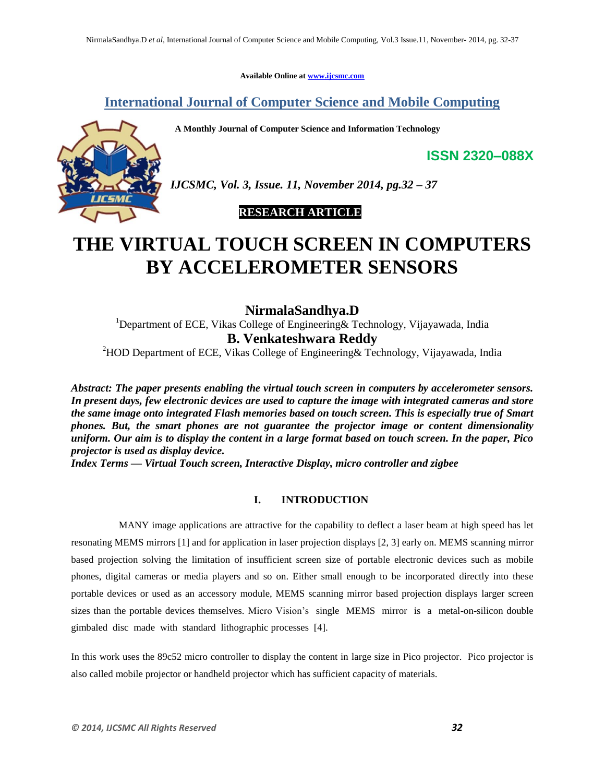**Available Online at www.ijcsmc.com**

**International Journal of Computer Science and Mobile Computing**

 **A Monthly Journal of Computer Science and Information Technology**



*IJCSMC, Vol. 3, Issue. 11, November 2014, pg.32 – 37*

# **RESEARCH ARTICLE**

# **THE VIRTUAL TOUCH SCREEN IN COMPUTERS BY ACCELEROMETER SENSORS**

**NirmalaSandhya.D** <sup>1</sup>Department of ECE, Vikas College of Engineering & Technology, Vijayawada, India **B. Venkateshwara Reddy**

<sup>2</sup>HOD Department of ECE, Vikas College of Engineering& Technology, Vijayawada, India

*Abstract: The paper presents enabling the virtual touch screen in computers by accelerometer sensors. In present days, few electronic devices are used to capture the image with integrated cameras and store the same image onto integrated Flash memories based on touch screen. This is especially true of Smart phones. But, the smart phones are not guarantee the projector image or content dimensionality uniform. Our aim is to display the content in a large format based on touch screen. In the paper, Pico projector is used as display device.*

*Index Terms — Virtual Touch screen, Interactive Display, micro controller and zigbee*

# **I. INTRODUCTION**

MANY image applications are attractive for the capability to deflect a laser beam at high speed has let resonating MEMS mirrors [1] and for application in laser projection displays [2, 3] early on. MEMS scanning mirror based projection solving the limitation of insufficient screen size of portable electronic devices such as mobile phones, digital cameras or media players and so on. Either small enough to be incorporated directly into these portable devices or used as an accessory module, MEMS scanning mirror based projection displays larger screen sizes than the portable devices themselves. Micro Vision's single MEMS mirror is a metal-on-silicon double gimbaled disc made with standard lithographic processes [4].

In this work uses the 89c52 micro controller to display the content in large size in Pico projector. Pico projector is also called mobile projector or handheld projector which has sufficient capacity of materials.

**ISSN 2320–088X**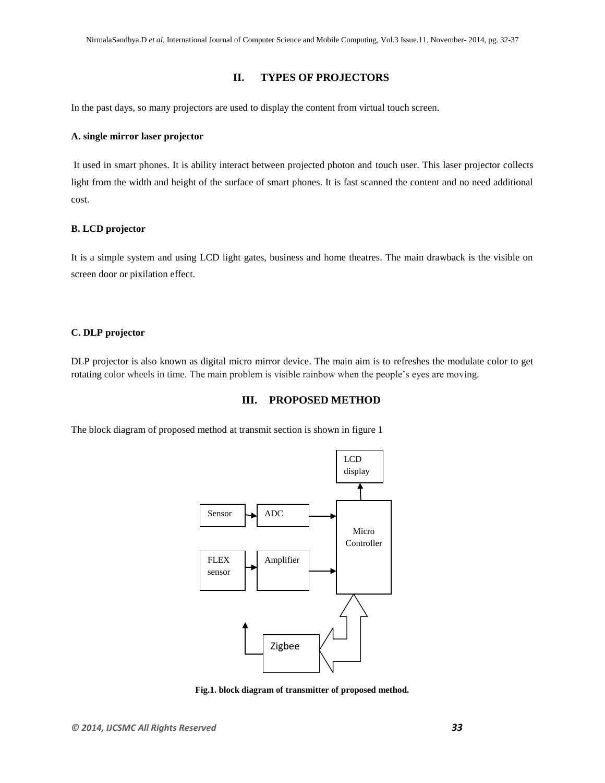### **II. TYPES OF PROJECTORS**

In the past days, so many projectors are used to display the content from virtual touch screen.

#### **A. single mirror laser projector**

It used in smart phones. It is ability interact between projected photon and touch user. This laser projector collects light from the width and height of the surface of smart phones. It is fast scanned the content and no need additional cost.

#### **B. LCD projector**

It is a simple system and using LCD light gates, business and home theatres. The main drawback is the visible on screen door or pixilation effect.

#### **C. DLP projector**

DLP projector is also known as digital micro mirror device. The main aim is to refreshes the modulate color to get rotating color wheels in time. The main problem is visible rainbow when the people's eyes are moving.

## **III. PROPOSED METHOD**

The block diagram of proposed method at transmit section is shown in figure 1



**Fig.1. block diagram of transmitter of proposed method.**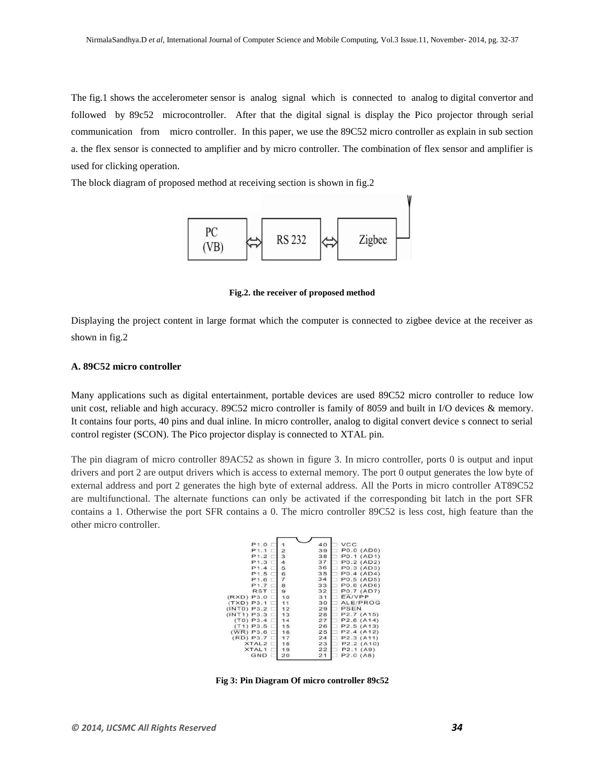The fig.1 shows the accelerometer sensor is analog signal which is connected to analog to digital convertor and followed by 89c52 microcontroller. After that the digital signal is display the Pico projector through serial communication from micro controller. In this paper, we use the 89C52 micro controller as explain in sub section a. the flex sensor is connected to amplifier and by micro controller. The combination of flex sensor and amplifier is used for clicking operation.

The block diagram of proposed method at receiving section is shown in fig.2



**Fig.2. the receiver of proposed method**

Displaying the project content in large format which the computer is connected to zigbee device at the receiver as shown in fig.2

#### **A. 89C52 micro controller**

Many applications such as digital entertainment, portable devices are used 89C52 micro controller to reduce low unit cost, reliable and high accuracy. 89C52 micro controller is family of 8059 and built in I/O devices & memory. It contains four ports, 40 pins and dual inline. In micro controller, analog to digital convert device s connect to serial control register (SCON). The Pico projector display is connected to XTAL pin.

The pin diagram of micro controller 89AC52 as shown in figure 3. In micro controller, ports 0 is output and input drivers and port 2 are output drivers which is access to external memory. The port 0 output generates the low byte of external address and port 2 generates the high byte of external address. All the Ports in micro controller AT89C52 are multifunctional. The alternate functions can only be activated if the corresponding bit latch in the port SFR contains a 1. Otherwise the port SFR contains a 0. The micro controller 89C52 is less cost, high feature than the other micro controller.

| P1.0              |                | 40 | <b>VCC</b>                         |
|-------------------|----------------|----|------------------------------------|
| P1.1              | $\overline{2}$ | 39 | P0.0 (AD0)                         |
| P1.2              | 3              | 38 | P0.1 (AD1)                         |
| P1.3              | 4              | 37 | P0.2 (AD2)                         |
| P1.4              | 5              | 36 | P0.3 (AD3)                         |
| P <sub>1.5</sub>  | 6              | 35 | P0.4 (AD4)                         |
| P1.6              | $\overline{7}$ | 34 | P0.5 (AD5)                         |
| P1.7              | 8              | 33 | P0.6 (AD6)                         |
| <b>RST</b>        | 9              | 32 | P0.7 (AD7)                         |
| (RXD) P3.0        | 10             | 31 | EA/VPP                             |
| $(TXD)$ P3.1      | 11             | 30 | ALE/PROG                           |
| (INT0) P3.2       | 12             | 29 | PSEN                               |
| INT1) P3.3        | 13             | 28 | P2.7 (A15)                         |
| $(T0)$ P3.4       | 14             | 27 | P2.6(A14)                          |
| $(T1)$ P3.5       | 15             | 26 | P2.5(A13)                          |
| $(WR)$ P3.6       | 16             | 25 | P2.4(A12)                          |
| $(RD)$ $P3.7$     | 17             | 24 | P2.3(A11)                          |
| XTAL <sub>2</sub> | 18             | 23 | P2.2(A10)                          |
| XTAL1             | 19             | 22 | P2.1(A9)                           |
| GND               | 20             | 21 | P <sub>2.0</sub> (A <sub>8</sub> ) |
|                   |                |    |                                    |

**Fig 3: Pin Diagram Of micro controller 89c52**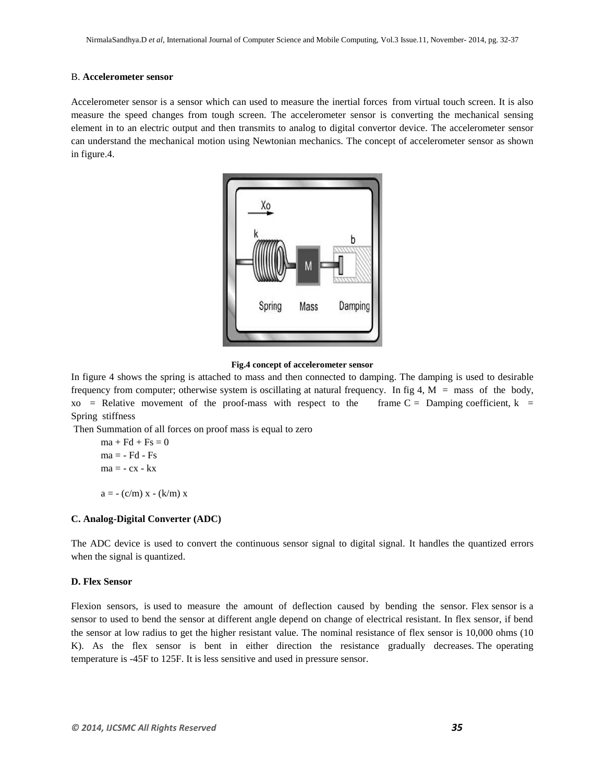#### B. **Accelerometer sensor**

Accelerometer sensor is a sensor which can used to measure the inertial forces from virtual touch screen. It is also measure the speed changes from tough screen. The accelerometer sensor is converting the mechanical sensing element in to an electric output and then transmits to analog to digital convertor device. The accelerometer sensor can understand the mechanical motion using Newtonian mechanics. The concept of accelerometer sensor as shown in figure.4.



#### **Fig.4 concept of accelerometer sensor**

In figure 4 shows the spring is attached to mass and then connected to damping. The damping is used to desirable frequency from computer; otherwise system is oscillating at natural frequency. In fig 4,  $M =$  mass of the body,  $xo$  = Relative movement of the proof-mass with respect to the frame C = Damping coefficient, k = Spring stiffness

Then Summation of all forces on proof mass is equal to zero

$$
ma + Fd + Fs = 0
$$
  

$$
ma = - Fd - Fs
$$
  

$$
ma = - cx - kx
$$
  

$$
a = - (c/m) x - (k/m) x
$$

#### **C. Analog-Digital Converter (ADC)**

The ADC device is used to convert the continuous sensor signal to digital signal. It handles the quantized errors when the signal is quantized.

#### **D. Flex Sensor**

Flexion sensors, is used to measure the amount of deflection caused by bending the sensor. Flex sensor is a sensor to used to bend the sensor at different angle depend on change of electrical resistant. In flex sensor, if bend the sensor at low radius to get the higher resistant value. The nominal resistance of flex sensor is 10,000 ohms (10 K). As the flex sensor is bent in either direction the resistance gradually decreases. The operating temperature is -45F to 125F. It is less sensitive and used in pressure sensor.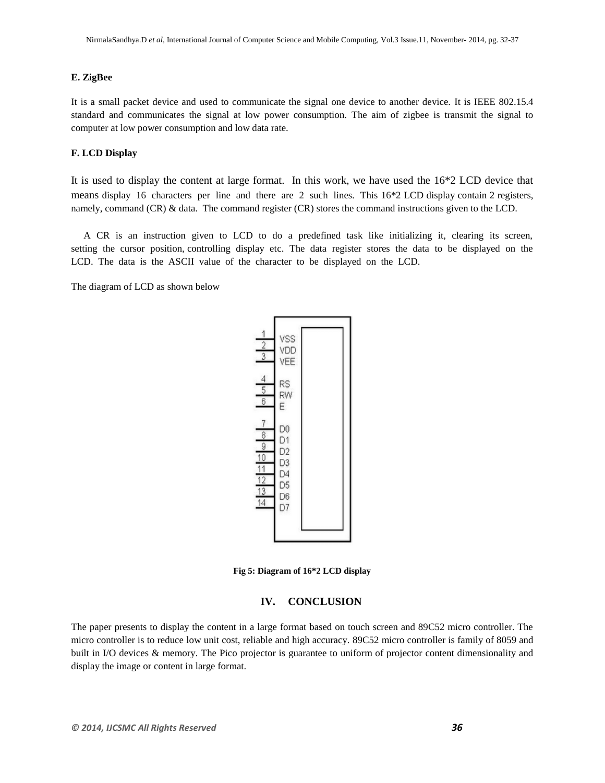### **E. ZigBee**

It is a small packet device and used to communicate the signal one device to another device. It is IEEE 802.15.4 standard and communicates the signal at low power consumption. The aim of zigbee is transmit the signal to computer at low power consumption and low data rate.

#### **F. LCD Display**

It is used to display the content at large format. In this work, we have used the 16\*2 LCD device that means display 16 characters per line and there are 2 such lines. This 16\*2 LCD display contain 2 registers, namely, command (CR) & data. The command register (CR) stores the command instructions given to the LCD.

 A CR is an instruction given to LCD to do a predefined task like initializing it, clearing its screen, setting the cursor position, controlling display etc. The data register stores the data to be displayed on the LCD. The data is the ASCII value of the character to be displayed on the LCD.

The diagram of LCD as shown below



**Fig 5: Diagram of 16\*2 LCD display**

#### **IV. CONCLUSION**

The paper presents to display the content in a large format based on touch screen and 89C52 micro controller. The micro controller is to reduce low unit cost, reliable and high accuracy. 89C52 micro controller is family of 8059 and built in I/O devices & memory. The Pico projector is guarantee to uniform of projector content dimensionality and display the image or content in large format.